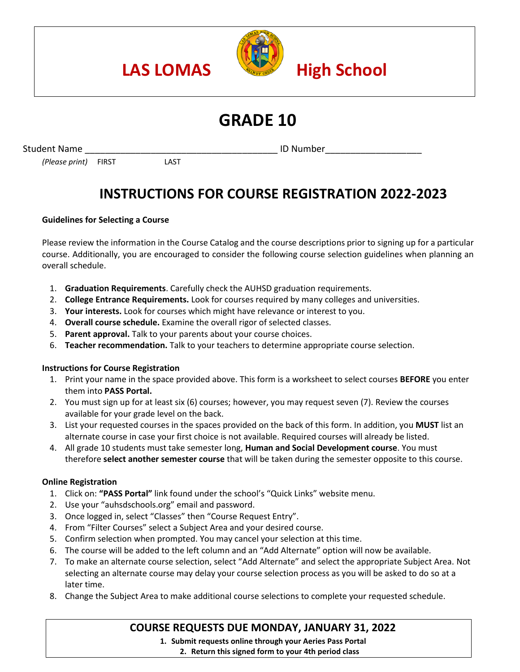

# **GRADE 10**

Student Name **Example 20 and Student Name ID Number** 

*(Please print)* FIRST LAST

# **INSTRUCTIONS FOR COURSE REGISTRATION 2022-2023**

# **Guidelines for Selecting a Course**

Please review the information in the Course Catalog and the course descriptions prior to signing up for a particular course. Additionally, you are encouraged to consider the following course selection guidelines when planning an overall schedule.

- 1. **Graduation Requirements**. Carefully check the AUHSD graduation requirements.
- 2. **College Entrance Requirements.** Look for courses required by many colleges and universities.
- 3. **Your interests.** Look for courses which might have relevance or interest to you.
- 4. **Overall course schedule.** Examine the overall rigor of selected classes.
- 5. **Parent approval.** Talk to your parents about your course choices.
- 6. **Teacher recommendation.** Talk to your teachers to determine appropriate course selection.

## **Instructions for Course Registration**

- 1. Print your name in the space provided above. This form is a worksheet to select courses **BEFORE** you enter them into **PASS Portal.**
- 2. You must sign up for at least six (6) courses; however, you may request seven (7). Review the courses available for your grade level on the back.
- 3. List your requested courses in the spaces provided on the back of this form. In addition, you **MUST** list an alternate course in case your first choice is not available. Required courses will already be listed.
- 4. All grade 10 students must take semester long, **Human and Social Development course**. You must therefore **select another semester course** that will be taken during the semester opposite to this course.

## **Online Registration**

- 1. Click on: **"PASS Portal"** link found under the school's "Quick Links" website menu.
- 2. Use your "auhsdschools.org" email and password.
- 3. Once logged in, select "Classes" then "Course Request Entry".
- 4. From "Filter Courses" select a Subject Area and your desired course.
- 5. Confirm selection when prompted. You may cancel your selection at this time.
- 6. The course will be added to the left column and an "Add Alternate" option will now be available.
- 7. To make an alternate course selection, select "Add Alternate" and select the appropriate Subject Area. Not selecting an alternate course may delay your course selection process as you will be asked to do so at a later time.
- 8. Change the Subject Area to make additional course selections to complete your requested schedule.

# **COURSE REQUESTS DUE MONDAY, JANUARY 31, 2022**

**1. Submit requests online through your Aeries Pass Portal**

**2. Return this signed form to your 4th period class**